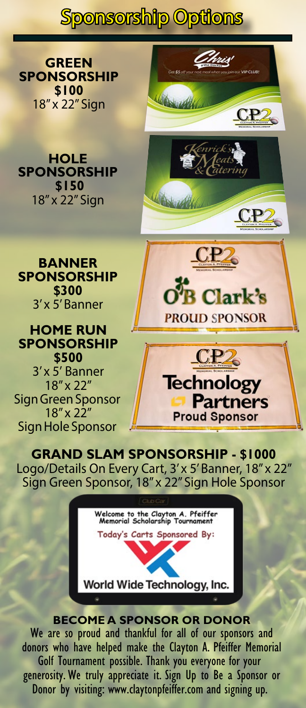Sponsorship Options

**GREEN SPONSORSHIP \$100** 18" x 22" Sign



CP.

**B Clark's** 

Chris

**HOLE SPONSORSHIP \$150** 18" x 22" Sign



# **HOME RUN SPONSORSHIP \$500**

3' x 5' Banner 18" x 22" Sign Green Sponsor 18" x 22" Sign Hole Sponsor



**GRAND SLAM SPONSORSHIP - \$1000** Logo/Details On Every Cart, 3' x 5' Banner, 18" x 22" Sign Green Sponsor, 18" x 22" Sign Hole Sponsor



**BECOME A SPONSOR OR DONOR** We are so proud and thankful for all of our sponsors and donors who have helped make the Clayton A. Pfeiffer Memorial Golf Tournament possible. Thank you everyone for your generosity. We truly appreciate it. Sign Up to Be a Sponsor or Donor by visiting: www.claytonpfeiffer.com and signing up.